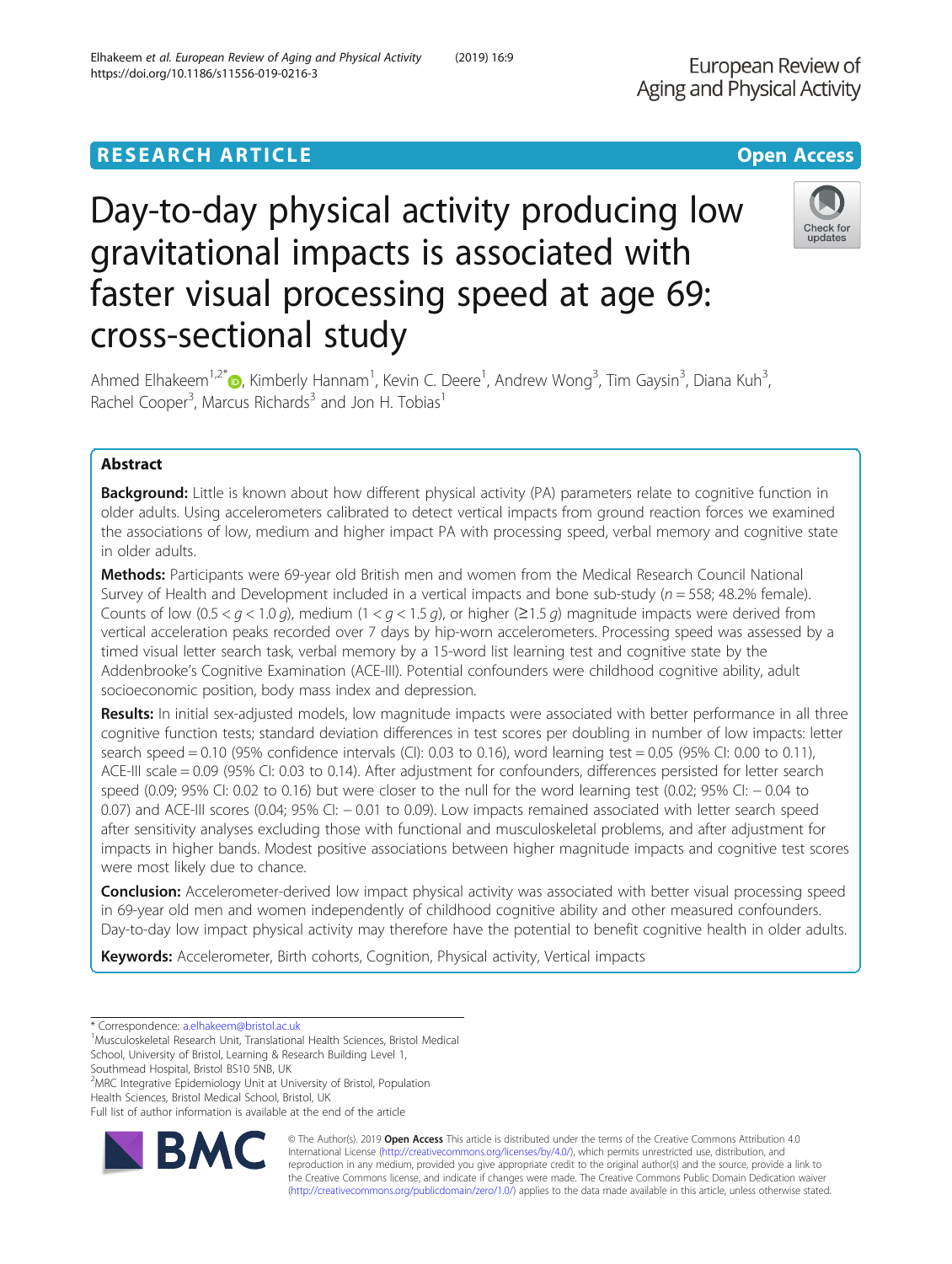# Day-to-day physical activity producing low gravitational impacts is associated with faster visual processing speed at age 69: cross-sectional study

Ahmed Elhakeem<sup>1,2\*</sup>®, Kimberly Hannam<sup>1</sup>, Kevin C. Deere<sup>1</sup>, Andrew Wong<sup>3</sup>, Tim Gaysin<sup>3</sup>, Diana Kuh<sup>3</sup> , Rachel Cooper<sup>3</sup>, Marcus Richards<sup>3</sup> and Jon H. Tobias<sup>1</sup>

# Abstract

**Background:** Little is known about how different physical activity (PA) parameters relate to cognitive function in older adults. Using accelerometers calibrated to detect vertical impacts from ground reaction forces we examined the associations of low, medium and higher impact PA with processing speed, verbal memory and cognitive state in older adults.

Methods: Participants were 69-year old British men and women from the Medical Research Council National Survey of Health and Development included in a vertical impacts and bone sub-study ( $n = 558$ ; 48.2% female). Counts of low (0.5 <  $q$  < 1.0 g), medium (1 <  $q$  < 1.5 g), or higher ( $\geq$ 1.5 g) magnitude impacts were derived from vertical acceleration peaks recorded over 7 days by hip-worn accelerometers. Processing speed was assessed by a timed visual letter search task, verbal memory by a 15-word list learning test and cognitive state by the Addenbrooke's Cognitive Examination (ACE-III). Potential confounders were childhood cognitive ability, adult socioeconomic position, body mass index and depression.

Results: In initial sex-adjusted models, low magnitude impacts were associated with better performance in all three cognitive function tests; standard deviation differences in test scores per doubling in number of low impacts: letter search speed  $= 0.10$  (95% confidence intervals (CI): 0.03 to 0.16), word learning test  $= 0.05$  (95% CI: 0.00 to 0.11), ACE-III scale = 0.09 (95% CI: 0.03 to 0.14). After adjustment for confounders, differences persisted for letter search speed (0.09; 95% CI: 0.02 to 0.16) but were closer to the null for the word learning test (0.02; 95% CI: − 0.04 to 0.07) and ACE-III scores (0.04; 95% CI: − 0.01 to 0.09). Low impacts remained associated with letter search speed after sensitivity analyses excluding those with functional and musculoskeletal problems, and after adjustment for impacts in higher bands. Modest positive associations between higher magnitude impacts and cognitive test scores were most likely due to chance.

**Conclusion:** Accelerometer-derived low impact physical activity was associated with better visual processing speed in 69-year old men and women independently of childhood cognitive ability and other measured confounders. Day-to-day low impact physical activity may therefore have the potential to benefit cognitive health in older adults.

Keywords: Accelerometer, Birth cohorts, Cognition, Physical activity, Vertical impacts

<sup>1</sup>Musculoskeletal Research Unit, Translational Health Sciences, Bristol Medical

School, University of Bristol, Learning & Research Building Level 1, Southmead Hospital, Bristol BS10 5NB, UK

<sup>2</sup>MRC Integrative Epidemiology Unit at University of Bristol, Population

Health Sciences, Bristol Medical School, Bristol, UK Full list of author information is available at the end of the article



© The Author(s). 2019 Open Access This article is distributed under the terms of the Creative Commons Attribution 4.0 International License [\(http://creativecommons.org/licenses/by/4.0/](http://creativecommons.org/licenses/by/4.0/)), which permits unrestricted use, distribution, and reproduction in any medium, provided you give appropriate credit to the original author(s) and the source, provide a link to the Creative Commons license, and indicate if changes were made. The Creative Commons Public Domain Dedication waiver [\(http://creativecommons.org/publicdomain/zero/1.0/](http://creativecommons.org/publicdomain/zero/1.0/)) applies to the data made available in this article, unless otherwise stated.



<sup>\*</sup> Correspondence: [a.elhakeem@bristol.ac.uk](mailto:a.elhakeem@bristol.ac.uk) <sup>1</sup>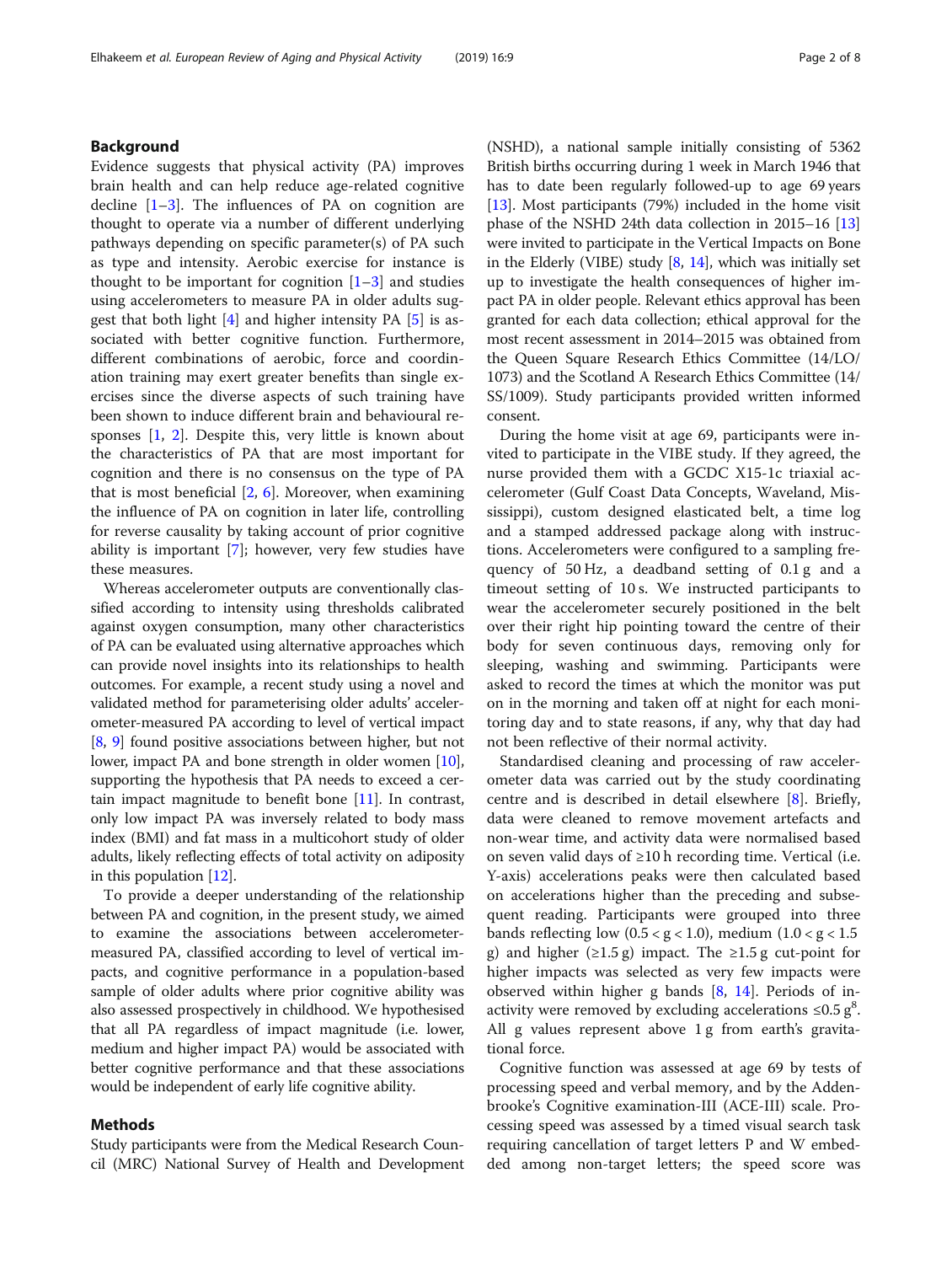# Background

Evidence suggests that physical activity (PA) improves brain health and can help reduce age-related cognitive decline  $[1-3]$  $[1-3]$  $[1-3]$ . The influences of PA on cognition are thought to operate via a number of different underlying pathways depending on specific parameter(s) of PA such as type and intensity. Aerobic exercise for instance is thought to be important for cognition  $[1-3]$  $[1-3]$  $[1-3]$  $[1-3]$  and studies using accelerometers to measure PA in older adults suggest that both light  $[4]$  and higher intensity PA  $[5]$  $[5]$  $[5]$  is associated with better cognitive function. Furthermore, different combinations of aerobic, force and coordination training may exert greater benefits than single exercises since the diverse aspects of such training have been shown to induce different brain and behavioural responses [[1,](#page-6-0) [2\]](#page-6-0). Despite this, very little is known about the characteristics of PA that are most important for cognition and there is no consensus on the type of PA that is most beneficial  $[2, 6]$  $[2, 6]$  $[2, 6]$ . Moreover, when examining the influence of PA on cognition in later life, controlling for reverse causality by taking account of prior cognitive ability is important [[7\]](#page-6-0); however, very few studies have these measures.

Whereas accelerometer outputs are conventionally classified according to intensity using thresholds calibrated against oxygen consumption, many other characteristics of PA can be evaluated using alternative approaches which can provide novel insights into its relationships to health outcomes. For example, a recent study using a novel and validated method for parameterising older adults' accelerometer-measured PA according to level of vertical impact [[8,](#page-6-0) [9\]](#page-6-0) found positive associations between higher, but not lower, impact PA and bone strength in older women [[10](#page-6-0)], supporting the hypothesis that PA needs to exceed a certain impact magnitude to benefit bone [\[11\]](#page-6-0). In contrast, only low impact PA was inversely related to body mass index (BMI) and fat mass in a multicohort study of older adults, likely reflecting effects of total activity on adiposity in this population [\[12\]](#page-6-0).

To provide a deeper understanding of the relationship between PA and cognition, in the present study, we aimed to examine the associations between accelerometermeasured PA, classified according to level of vertical impacts, and cognitive performance in a population-based sample of older adults where prior cognitive ability was also assessed prospectively in childhood. We hypothesised that all PA regardless of impact magnitude (i.e. lower, medium and higher impact PA) would be associated with better cognitive performance and that these associations would be independent of early life cognitive ability.

# Methods

Study participants were from the Medical Research Council (MRC) National Survey of Health and Development

(NSHD), a national sample initially consisting of 5362 British births occurring during 1 week in March 1946 that has to date been regularly followed-up to age 69 years [[13](#page-6-0)]. Most participants (79%) included in the home visit phase of the NSHD 24th data collection in 2015–16 [[13](#page-6-0)] were invited to participate in the Vertical Impacts on Bone in the Elderly (VIBE) study  $[8, 14]$  $[8, 14]$  $[8, 14]$ , which was initially set up to investigate the health consequences of higher impact PA in older people. Relevant ethics approval has been granted for each data collection; ethical approval for the most recent assessment in 2014–2015 was obtained from the Queen Square Research Ethics Committee (14/LO/ 1073) and the Scotland A Research Ethics Committee (14/ SS/1009). Study participants provided written informed consent.

During the home visit at age 69, participants were invited to participate in the VIBE study. If they agreed, the nurse provided them with a GCDC X15-1c triaxial accelerometer (Gulf Coast Data Concepts, Waveland, Mississippi), custom designed elasticated belt, a time log and a stamped addressed package along with instructions. Accelerometers were configured to a sampling frequency of 50 Hz, a deadband setting of 0.1 g and a timeout setting of 10 s. We instructed participants to wear the accelerometer securely positioned in the belt over their right hip pointing toward the centre of their body for seven continuous days, removing only for sleeping, washing and swimming. Participants were asked to record the times at which the monitor was put on in the morning and taken off at night for each monitoring day and to state reasons, if any, why that day had not been reflective of their normal activity.

Standardised cleaning and processing of raw accelerometer data was carried out by the study coordinating centre and is described in detail elsewhere [\[8](#page-6-0)]. Briefly, data were cleaned to remove movement artefacts and non-wear time, and activity data were normalised based on seven valid days of ≥10 h recording time. Vertical (i.e. Y-axis) accelerations peaks were then calculated based on accelerations higher than the preceding and subsequent reading. Participants were grouped into three bands reflecting low  $(0.5 < g < 1.0)$ , medium  $(1.0 < g < 1.5)$ g) and higher ( $\geq$ 1.5 g) impact. The  $\geq$ 1.5 g cut-point for higher impacts was selected as very few impacts were observed within higher g bands [\[8,](#page-6-0) [14\]](#page-7-0). Periods of inactivity were removed by excluding accelerations  $\leq 0.5$  g<sup>8</sup>. All g values represent above 1 g from earth's gravitational force.

Cognitive function was assessed at age 69 by tests of processing speed and verbal memory, and by the Addenbrooke's Cognitive examination-III (ACE-III) scale. Processing speed was assessed by a timed visual search task requiring cancellation of target letters P and W embedded among non-target letters; the speed score was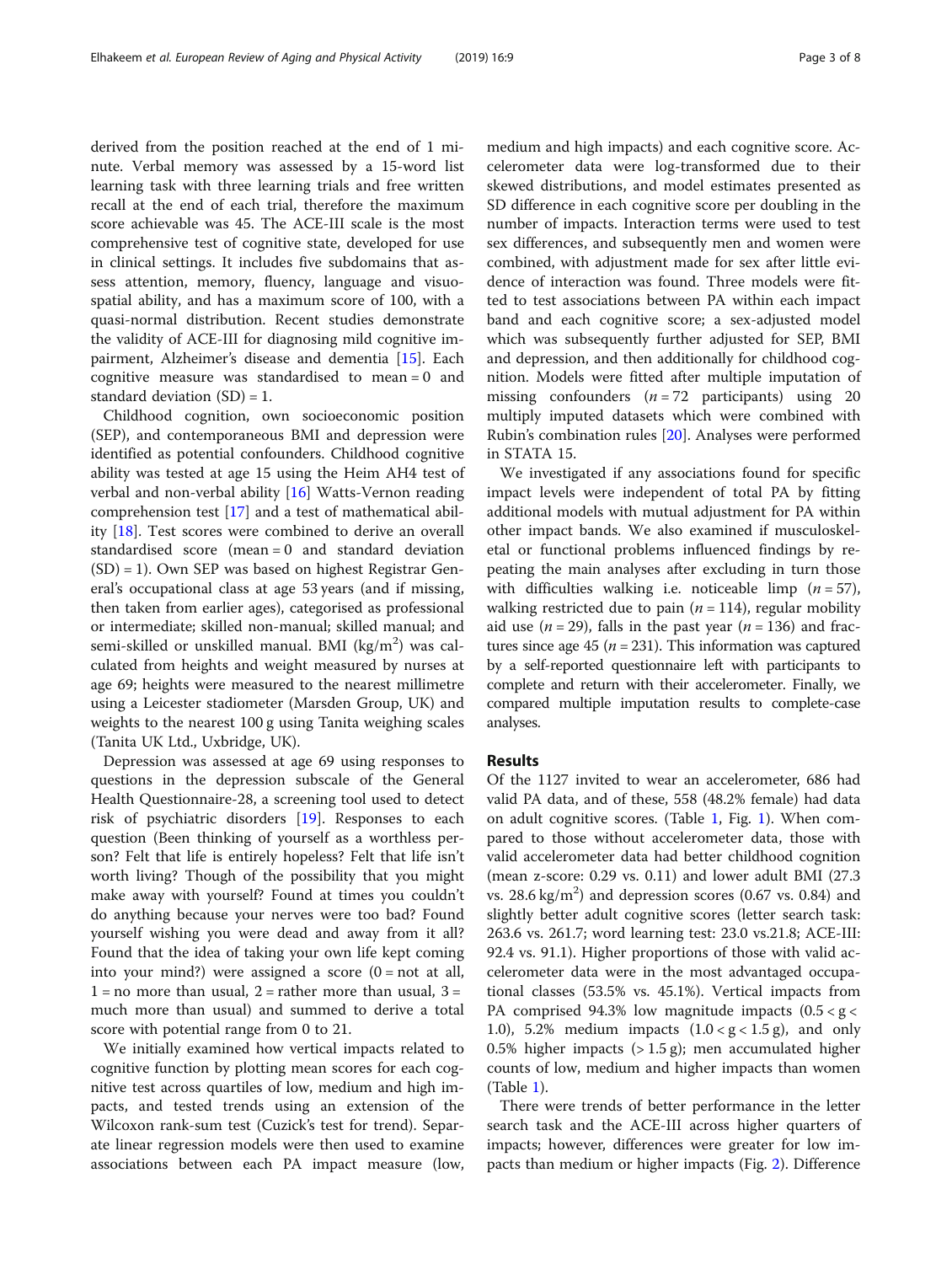derived from the position reached at the end of 1 minute. Verbal memory was assessed by a 15-word list learning task with three learning trials and free written recall at the end of each trial, therefore the maximum score achievable was 45. The ACE-III scale is the most comprehensive test of cognitive state, developed for use in clinical settings. It includes five subdomains that assess attention, memory, fluency, language and visuospatial ability, and has a maximum score of 100, with a quasi-normal distribution. Recent studies demonstrate the validity of ACE-III for diagnosing mild cognitive impairment, Alzheimer's disease and dementia [\[15\]](#page-7-0). Each cognitive measure was standardised to mean = 0 and standard deviation  $(SD) = 1$ .

Childhood cognition, own socioeconomic position (SEP), and contemporaneous BMI and depression were identified as potential confounders. Childhood cognitive ability was tested at age 15 using the Heim AH4 test of verbal and non-verbal ability [[16\]](#page-7-0) Watts-Vernon reading comprehension test [[17](#page-7-0)] and a test of mathematical ability [[18](#page-7-0)]. Test scores were combined to derive an overall standardised score (mean = 0 and standard deviation (SD) = 1). Own SEP was based on highest Registrar General's occupational class at age 53 years (and if missing, then taken from earlier ages), categorised as professional or intermediate; skilled non-manual; skilled manual; and semi-skilled or unskilled manual. BMI (kg/m<sup>2</sup>) was calculated from heights and weight measured by nurses at age 69; heights were measured to the nearest millimetre using a Leicester stadiometer (Marsden Group, UK) and weights to the nearest 100 g using Tanita weighing scales (Tanita UK Ltd., Uxbridge, UK).

Depression was assessed at age 69 using responses to questions in the depression subscale of the General Health Questionnaire-28, a screening tool used to detect risk of psychiatric disorders [\[19](#page-7-0)]. Responses to each question (Been thinking of yourself as a worthless person? Felt that life is entirely hopeless? Felt that life isn't worth living? Though of the possibility that you might make away with yourself? Found at times you couldn't do anything because your nerves were too bad? Found yourself wishing you were dead and away from it all? Found that the idea of taking your own life kept coming into your mind?) were assigned a score  $(0 = not at all,$  $1 = no$  more than usual,  $2 =$  rather more than usual,  $3 =$ much more than usual) and summed to derive a total score with potential range from 0 to 21.

We initially examined how vertical impacts related to cognitive function by plotting mean scores for each cognitive test across quartiles of low, medium and high impacts, and tested trends using an extension of the Wilcoxon rank-sum test (Cuzick's test for trend). Separate linear regression models were then used to examine associations between each PA impact measure (low, medium and high impacts) and each cognitive score. Accelerometer data were log-transformed due to their skewed distributions, and model estimates presented as SD difference in each cognitive score per doubling in the number of impacts. Interaction terms were used to test sex differences, and subsequently men and women were combined, with adjustment made for sex after little evidence of interaction was found. Three models were fitted to test associations between PA within each impact band and each cognitive score; a sex-adjusted model which was subsequently further adjusted for SEP, BMI and depression, and then additionally for childhood cognition. Models were fitted after multiple imputation of missing confounders  $(n = 72$  participants) using 20 multiply imputed datasets which were combined with Rubin's combination rules [\[20\]](#page-7-0). Analyses were performed in STATA 15.

We investigated if any associations found for specific impact levels were independent of total PA by fitting additional models with mutual adjustment for PA within other impact bands. We also examined if musculoskeletal or functional problems influenced findings by repeating the main analyses after excluding in turn those with difficulties walking i.e. noticeable limp  $(n = 57)$ , walking restricted due to pain ( $n = 114$ ), regular mobility aid use ( $n = 29$ ), falls in the past year ( $n = 136$ ) and fractures since age 45 ( $n = 231$ ). This information was captured by a self-reported questionnaire left with participants to complete and return with their accelerometer. Finally, we compared multiple imputation results to complete-case analyses.

## Results

Of the 1127 invited to wear an accelerometer, 686 had valid PA data, and of these, 558 (48.2% female) had data on adult cognitive scores. (Table [1,](#page-3-0) Fig. [1](#page-3-0)). When compared to those without accelerometer data, those with valid accelerometer data had better childhood cognition (mean z-score: 0.29 vs. 0.11) and lower adult BMI (27.3 vs.  $28.6 \text{ kg/m}^2$ ) and depression scores (0.67 vs. 0.84) and slightly better adult cognitive scores (letter search task: 263.6 vs. 261.7; word learning test: 23.0 vs.21.8; ACE-III: 92.4 vs. 91.1). Higher proportions of those with valid accelerometer data were in the most advantaged occupational classes (53.5% vs. 45.1%). Vertical impacts from PA comprised 94.3% low magnitude impacts  $(0.5 < g <$ 1.0), 5.2% medium impacts  $(1.0 < g < 1.5 g)$ , and only 0.5% higher impacts  $($ > 1.5 g); men accumulated higher counts of low, medium and higher impacts than women (Table [1\)](#page-3-0).

There were trends of better performance in the letter search task and the ACE-III across higher quarters of impacts; however, differences were greater for low impacts than medium or higher impacts (Fig. [2](#page-4-0)). Difference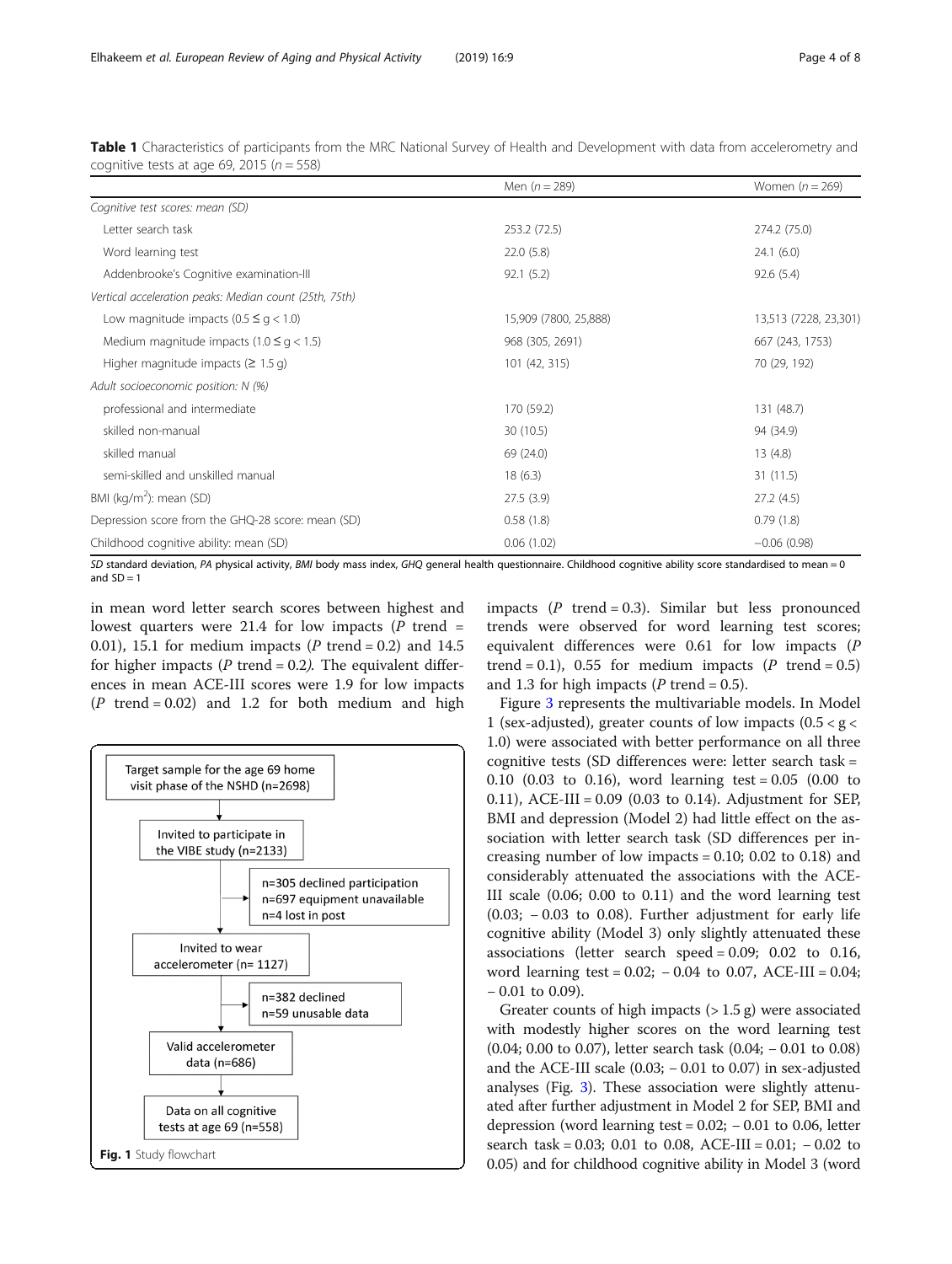|                                                                                                                       | Men $(n = 289)$       | Women $(n = 269)$     |
|-----------------------------------------------------------------------------------------------------------------------|-----------------------|-----------------------|
| Cognitive test scores: mean (SD)                                                                                      |                       |                       |
| Letter search task                                                                                                    | 253.2 (72.5)          | 274.2 (75.0)          |
| Word learning test                                                                                                    | 22.0(5.8)             | 24.1(6.0)             |
| Addenbrooke's Cognitive examination-III                                                                               | 92.1(5.2)             | 92.6(5.4)             |
| Vertical acceleration peaks: Median count (25th, 75th)                                                                |                       |                       |
| Low magnitude impacts $(0.5 \leq g < 1.0)$                                                                            | 15,909 (7800, 25,888) | 13,513 (7228, 23,301) |
| Medium magnitude impacts (1.0 $\leq$ g < 1.5)                                                                         | 968 (305, 2691)       | 667 (243, 1753)       |
| Higher magnitude impacts ( $\geq 1.5$ g)                                                                              | 101 (42, 315)         | 70 (29, 192)          |
| Adult socioeconomic position: N (%)                                                                                   |                       |                       |
| professional and intermediate                                                                                         | 170 (59.2)            | 131 (48.7)            |
| skilled non-manual                                                                                                    | 30 (10.5)             | 94 (34.9)             |
| skilled manual                                                                                                        | 69 (24.0)             | 13(4.8)               |
| semi-skilled and unskilled manual                                                                                     | 18(6.3)               | 31(11.5)              |
| BMI ( $kg/m2$ ): mean (SD)                                                                                            | 27.5(3.9)             | 27.2(4.5)             |
| Depression score from the GHQ-28 score: mean (SD)                                                                     | 0.58(1.8)             | 0.79(1.8)             |
| Childhood cognitive ability: mean (SD)                                                                                | 0.06(1.02)            | $-0.06(0.98)$         |
| CONTRACTOR DE LA SERVICIÓN DE LO DEL SULLO CHORISTA DEL SULLO DE LO SULLO DE CONTRACTORES SERVICIOS DE LO DE LA SULLO |                       |                       |

<span id="page-3-0"></span>Table 1 Characteristics of participants from the MRC National Survey of Health and Development with data from accelerometry and cognitive tests at age 69, 2015 ( $n = 558$ )

SD standard deviation, PA physical activity, BMI body mass index, GHQ general health questionnaire. Childhood cognitive ability score standardised to mean = 0 and  $SD = 1$ 

in mean word letter search scores between highest and lowest quarters were 21.4 for low impacts  $(P$  trend = 0.01), 15.1 for medium impacts ( $P$  trend = 0.2) and 14.5 for higher impacts (P trend = 0.2). The equivalent differences in mean ACE-III scores were 1.9 for low impacts  $(P$  trend = 0.02) and 1.2 for both medium and high



impacts  $(P$  trend = 0.3). Similar but less pronounced trends were observed for word learning test scores; equivalent differences were 0.61 for low impacts (P trend = 0.1), 0.55 for medium impacts (P trend = 0.5) and 1.3 for high impacts ( $P$  trend = 0.5).

Figure [3](#page-5-0) represents the multivariable models. In Model 1 (sex-adjusted), greater counts of low impacts  $(0.5 < g <$ 1.0) were associated with better performance on all three cognitive tests (SD differences were: letter search task = 0.10 (0.03 to 0.16), word learning test = 0.05 (0.00 to 0.11), ACE-III = 0.09 (0.03 to 0.14). Adjustment for SEP, BMI and depression (Model 2) had little effect on the association with letter search task (SD differences per increasing number of low impacts  $= 0.10$ ; 0.02 to 0.18) and considerably attenuated the associations with the ACE-III scale (0.06; 0.00 to 0.11) and the word learning test (0.03; − 0.03 to 0.08). Further adjustment for early life cognitive ability (Model 3) only slightly attenuated these associations (letter search speed =  $0.09$ ;  $0.02$  to  $0.16$ , word learning test =  $0.02$ ;  $-0.04$  to 0.07, ACE-III =  $0.04$ ; − 0.01 to 0.09).

Greater counts of high impacts  $(> 1.5 \text{ g})$  were associated with modestly higher scores on the word learning test (0.04; 0.00 to 0.07), letter search task (0.04; − 0.01 to 0.08) and the ACE-III scale  $(0.03; -0.01$  to 0.07) in sex-adjusted analyses (Fig. [3\)](#page-5-0). These association were slightly attenuated after further adjustment in Model 2 for SEP, BMI and depression (word learning test =  $0.02$ ;  $-0.01$  to 0.06, letter search task =  $0.03$ ; 0.01 to 0.08, ACE-III =  $0.01$ ;  $-0.02$  to 0.05) and for childhood cognitive ability in Model 3 (word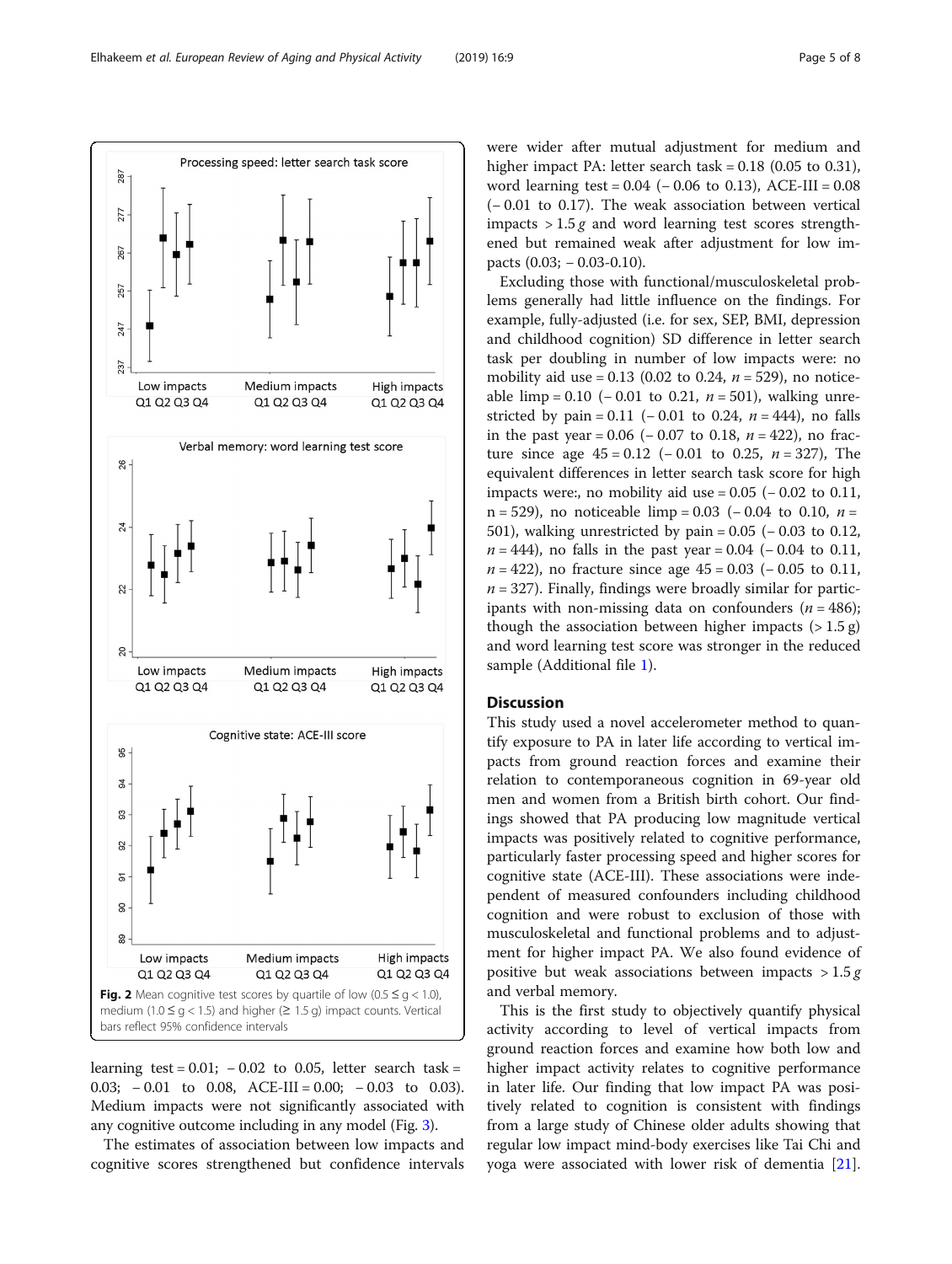learning test =  $0.01$ ;  $-0.02$  to 0.05, letter search task = 0.03; − 0.01 to 0.08, ACE-III = 0.00; − 0.03 to 0.03). Medium impacts were not significantly associated with any cognitive outcome including in any model (Fig. [3](#page-5-0)).

The estimates of association between low impacts and cognitive scores strengthened but confidence intervals were wider after mutual adjustment for medium and higher impact PA: letter search task = 0.18 (0.05 to 0.31), word learning test = 0.04 (− 0.06 to 0.13), ACE-III = 0.08 (− 0.01 to 0.17). The weak association between vertical impacts  $> 1.5 g$  and word learning test scores strengthened but remained weak after adjustment for low impacts (0.03; − 0.03-0.10).

Excluding those with functional/musculoskeletal problems generally had little influence on the findings. For example, fully-adjusted (i.e. for sex, SEP, BMI, depression and childhood cognition) SD difference in letter search task per doubling in number of low impacts were: no mobility aid use = 0.13 (0.02 to 0.24,  $n = 529$ ), no noticeable limp = 0.10 (− 0.01 to 0.21,  $n = 501$ ), walking unrestricted by pain =  $0.11$  (− 0.01 to 0.24, *n* = 444), no falls in the past year =  $0.06$  (−  $0.07$  to 0.18, *n* = 422), no fracture since age  $45 = 0.12$  (−0.01 to 0.25, *n* = 327), The equivalent differences in letter search task score for high impacts were:, no mobility aid use =  $0.05$  ( $-0.02$  to  $0.11$ , n = 529), no noticeable limp = 0.03 (- 0.04 to 0.10,  $n =$ 501), walking unrestricted by pain =  $0.05$  ( $-0.03$  to 0.12,  $n = 444$ ), no falls in the past year = 0.04 (-0.04 to 0.11,  $n = 422$ ), no fracture since age  $45 = 0.03$  ( $- 0.05$  to 0.11,  $n = 327$ ). Finally, findings were broadly similar for participants with non-missing data on confounders  $(n = 486)$ ; though the association between higher impacts  $(>1.5 \text{ g})$ and word learning test score was stronger in the reduced sample (Additional file [1\)](#page-6-0).

# **Discussion**

This study used a novel accelerometer method to quantify exposure to PA in later life according to vertical impacts from ground reaction forces and examine their relation to contemporaneous cognition in 69-year old men and women from a British birth cohort. Our findings showed that PA producing low magnitude vertical impacts was positively related to cognitive performance, particularly faster processing speed and higher scores for cognitive state (ACE-III). These associations were independent of measured confounders including childhood cognition and were robust to exclusion of those with musculoskeletal and functional problems and to adjustment for higher impact PA. We also found evidence of positive but weak associations between impacts  $> 1.5 g$ and verbal memory.

This is the first study to objectively quantify physical activity according to level of vertical impacts from ground reaction forces and examine how both low and higher impact activity relates to cognitive performance in later life. Our finding that low impact PA was positively related to cognition is consistent with findings from a large study of Chinese older adults showing that regular low impact mind-body exercises like Tai Chi and yoga were associated with lower risk of dementia [\[21](#page-7-0)].



Processing speed: letter search task score

<span id="page-4-0"></span>287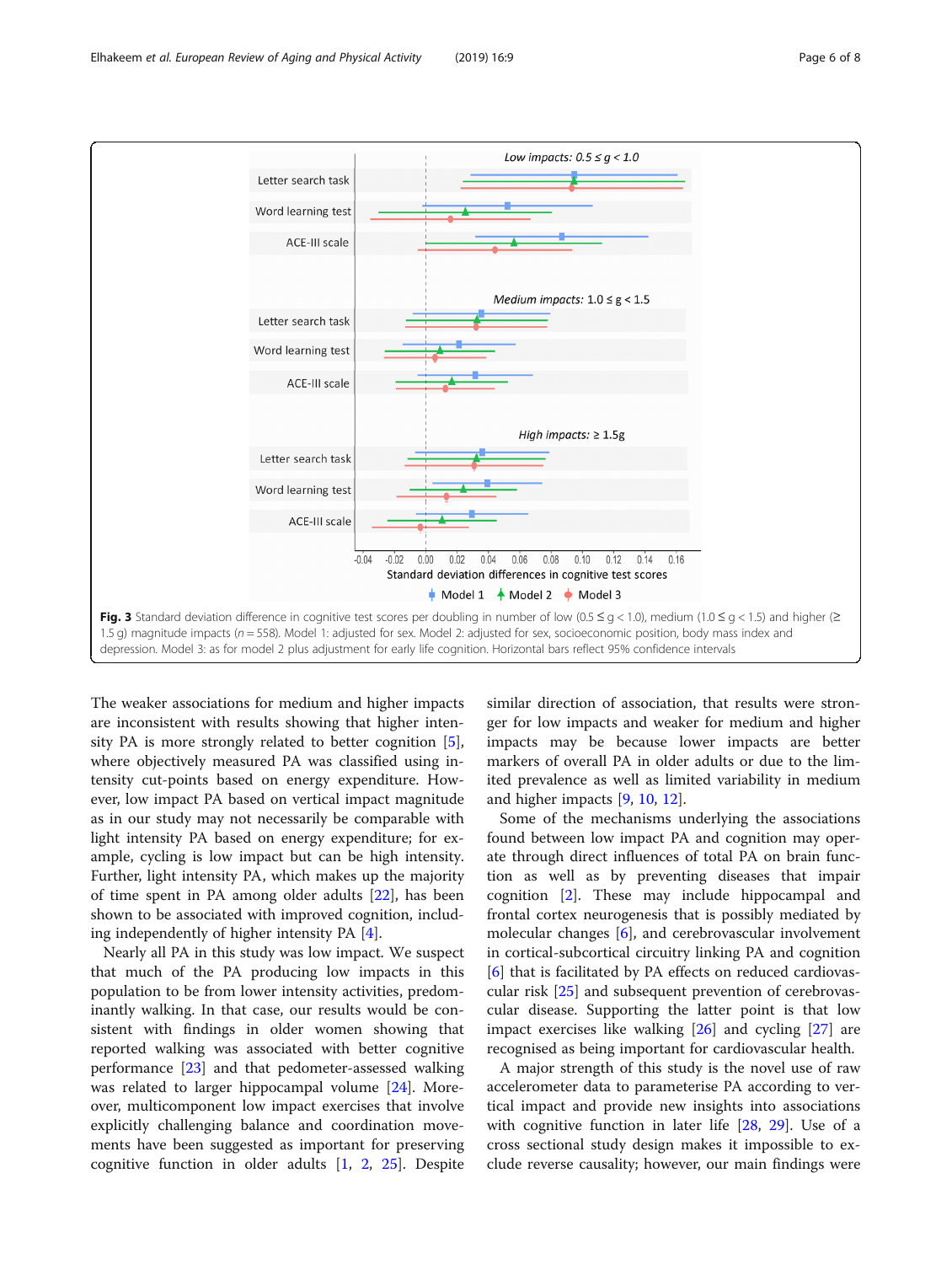<span id="page-5-0"></span>

The weaker associations for medium and higher impacts are inconsistent with results showing that higher intensity PA is more strongly related to better cognition [\[5](#page-6-0)], where objectively measured PA was classified using intensity cut-points based on energy expenditure. However, low impact PA based on vertical impact magnitude as in our study may not necessarily be comparable with light intensity PA based on energy expenditure; for example, cycling is low impact but can be high intensity. Further, light intensity PA, which makes up the majority of time spent in PA among older adults [\[22](#page-7-0)], has been shown to be associated with improved cognition, including independently of higher intensity PA [[4\]](#page-6-0).

Nearly all PA in this study was low impact. We suspect that much of the PA producing low impacts in this population to be from lower intensity activities, predominantly walking. In that case, our results would be consistent with findings in older women showing that reported walking was associated with better cognitive performance [\[23\]](#page-7-0) and that pedometer-assessed walking was related to larger hippocampal volume [[24\]](#page-7-0). Moreover, multicomponent low impact exercises that involve explicitly challenging balance and coordination movements have been suggested as important for preserving cognitive function in older adults [\[1](#page-6-0), [2](#page-6-0), [25\]](#page-7-0). Despite similar direction of association, that results were stronger for low impacts and weaker for medium and higher impacts may be because lower impacts are better markers of overall PA in older adults or due to the limited prevalence as well as limited variability in medium and higher impacts [[9](#page-6-0), [10](#page-6-0), [12](#page-6-0)].

Some of the mechanisms underlying the associations found between low impact PA and cognition may operate through direct influences of total PA on brain function as well as by preventing diseases that impair cognition [[2](#page-6-0)]. These may include hippocampal and frontal cortex neurogenesis that is possibly mediated by molecular changes [\[6](#page-6-0)], and cerebrovascular involvement in cortical-subcortical circuitry linking PA and cognition [[6\]](#page-6-0) that is facilitated by PA effects on reduced cardiovascular risk [[25](#page-7-0)] and subsequent prevention of cerebrovascular disease. Supporting the latter point is that low impact exercises like walking [[26](#page-7-0)] and cycling [[27](#page-7-0)] are recognised as being important for cardiovascular health.

A major strength of this study is the novel use of raw accelerometer data to parameterise PA according to vertical impact and provide new insights into associations with cognitive function in later life [\[28](#page-7-0), [29](#page-7-0)]. Use of a cross sectional study design makes it impossible to exclude reverse causality; however, our main findings were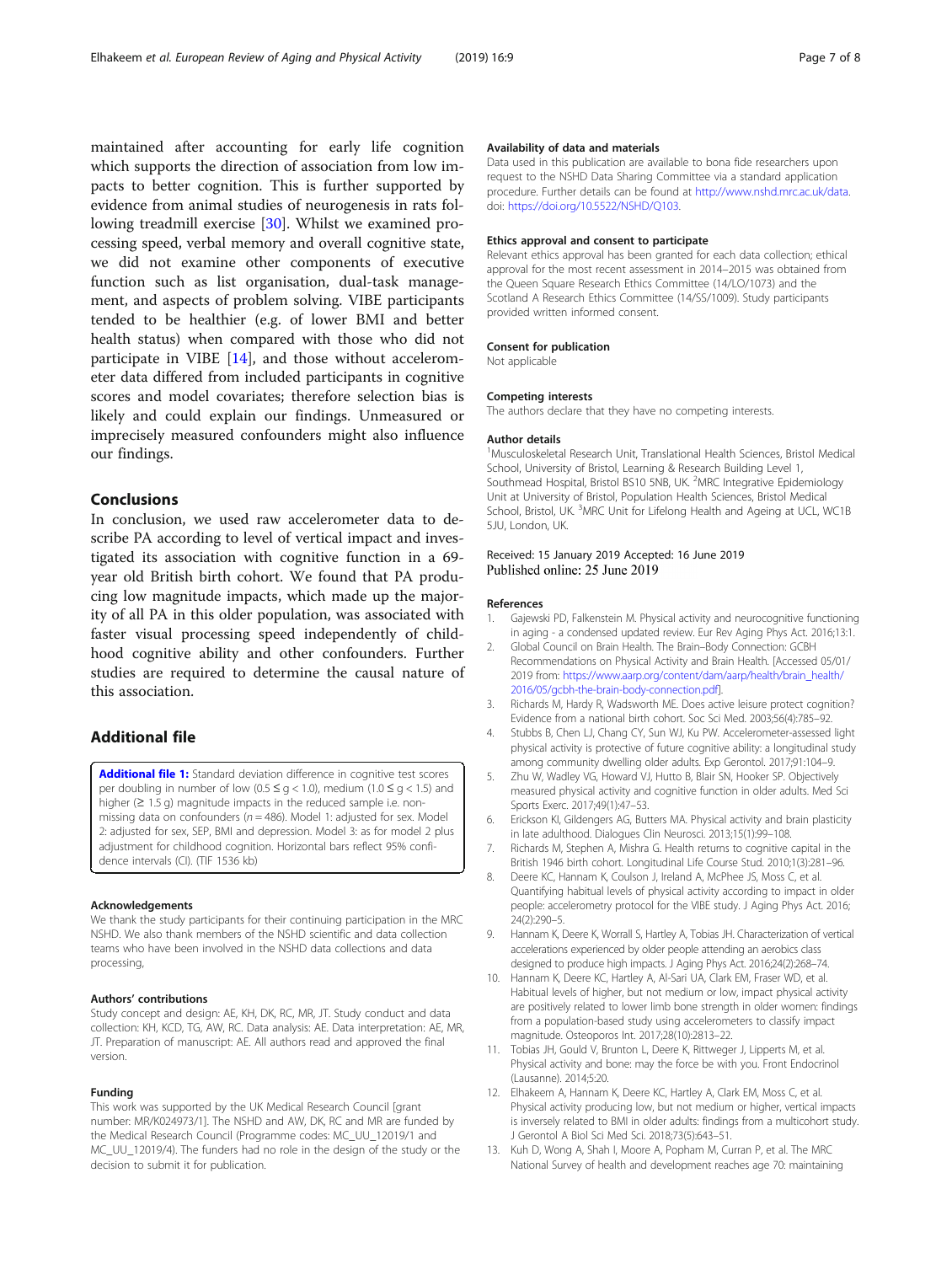<span id="page-6-0"></span>maintained after accounting for early life cognition which supports the direction of association from low impacts to better cognition. This is further supported by evidence from animal studies of neurogenesis in rats following treadmill exercise [\[30](#page-7-0)]. Whilst we examined processing speed, verbal memory and overall cognitive state, we did not examine other components of executive function such as list organisation, dual-task management, and aspects of problem solving. VIBE participants tended to be healthier (e.g. of lower BMI and better health status) when compared with those who did not participate in VIBE [\[14\]](#page-7-0), and those without accelerometer data differed from included participants in cognitive scores and model covariates; therefore selection bias is likely and could explain our findings. Unmeasured or imprecisely measured confounders might also influence our findings.

# Conclusions

In conclusion, we used raw accelerometer data to describe PA according to level of vertical impact and investigated its association with cognitive function in a 69 year old British birth cohort. We found that PA producing low magnitude impacts, which made up the majority of all PA in this older population, was associated with faster visual processing speed independently of childhood cognitive ability and other confounders. Further studies are required to determine the causal nature of this association.

# Additional file

[Additional file 1:](https://doi.org/10.1186/s11556-019-0216-3) Standard deviation difference in cognitive test scores per doubling in number of low (0.5  $\le$  g < 1.0), medium (1.0  $\le$  g < 1.5) and higher (≥ 1.5 g) magnitude impacts in the reduced sample i.e. nonmissing data on confounders ( $n = 486$ ). Model 1: adjusted for sex. Model 2: adjusted for sex, SEP, BMI and depression. Model 3: as for model 2 plus adjustment for childhood cognition. Horizontal bars reflect 95% confidence intervals (CI). (TIF 1536 kb)

#### Acknowledgements

We thank the study participants for their continuing participation in the MRC NSHD. We also thank members of the NSHD scientific and data collection teams who have been involved in the NSHD data collections and data processing,

#### Authors' contributions

Study concept and design: AE, KH, DK, RC, MR, JT. Study conduct and data collection: KH, KCD, TG, AW, RC. Data analysis: AE. Data interpretation: AE, MR, JT. Preparation of manuscript: AE. All authors read and approved the final version.

#### Funding

This work was supported by the UK Medical Research Council [grant number: MR/K024973/1]. The NSHD and AW, DK, RC and MR are funded by the Medical Research Council (Programme codes: MC\_UU\_12019/1 and MC\_UU\_12019/4). The funders had no role in the design of the study or the decision to submit it for publication.

### Availability of data and materials

Data used in this publication are available to bona fide researchers upon request to the NSHD Data Sharing Committee via a standard application procedure. Further details can be found at <http://www.nshd.mrc.ac.uk/data>. doi: [https://doi.org/10.5522/NSHD/Q103.](https://doi.org/10.5522/NSHD/Q103)

#### Ethics approval and consent to participate

Relevant ethics approval has been granted for each data collection; ethical approval for the most recent assessment in 2014–2015 was obtained from the Queen Square Research Ethics Committee (14/LO/1073) and the Scotland A Research Ethics Committee (14/SS/1009). Study participants provided written informed consent.

#### Consent for publication

Not applicable

#### Competing interests

The authors declare that they have no competing interests.

#### Author details

<sup>1</sup>Musculoskeletal Research Unit, Translational Health Sciences, Bristol Medical School, University of Bristol, Learning & Research Building Level 1, Southmead Hospital, Bristol BS10 5NB, UK. <sup>2</sup>MRC Integrative Epidemiology Unit at University of Bristol, Population Health Sciences, Bristol Medical School, Bristol, UK. <sup>3</sup>MRC Unit for Lifelong Health and Ageing at UCL, WC1B 5JU, London, UK.

### Received: 15 January 2019 Accepted: 16 June 2019 Published online: 25 June 2019

#### References

- 1. Gajewski PD, Falkenstein M. Physical activity and neurocognitive functioning in aging - a condensed updated review. Eur Rev Aging Phys Act. 2016;13:1.
- 2. Global Council on Brain Health. The Brain–Body Connection: GCBH Recommendations on Physical Activity and Brain Health. [Accessed 05/01/ 2019 from: [https://www.aarp.org/content/dam/aarp/health/brain\\_health/](https://www.aarp.org/content/dam/aarp/health/brain_health/2016/05/gcbh-the-brain-body-connection.pdf) [2016/05/gcbh-the-brain-body-connection.pdf](https://www.aarp.org/content/dam/aarp/health/brain_health/2016/05/gcbh-the-brain-body-connection.pdf)].
- 3. Richards M, Hardy R, Wadsworth ME. Does active leisure protect cognition? Evidence from a national birth cohort. Soc Sci Med. 2003;56(4):785–92.
- 4. Stubbs B, Chen LJ, Chang CY, Sun WJ, Ku PW. Accelerometer-assessed light physical activity is protective of future cognitive ability: a longitudinal study among community dwelling older adults. Exp Gerontol. 2017;91:104–9.
- 5. Zhu W, Wadley VG, Howard VJ, Hutto B, Blair SN, Hooker SP. Objectively measured physical activity and cognitive function in older adults. Med Sci Sports Exerc. 2017;49(1):47–53.
- 6. Erickson KI, Gildengers AG, Butters MA. Physical activity and brain plasticity in late adulthood. Dialogues Clin Neurosci. 2013;15(1):99–108.
- 7. Richards M, Stephen A, Mishra G. Health returns to cognitive capital in the British 1946 birth cohort. Longitudinal Life Course Stud. 2010;1(3):281–96.
- 8. Deere KC, Hannam K, Coulson J, Ireland A, McPhee JS, Moss C, et al. Quantifying habitual levels of physical activity according to impact in older people: accelerometry protocol for the VIBE study. J Aging Phys Act. 2016; 24(2):290–5.
- 9. Hannam K, Deere K, Worrall S, Hartley A, Tobias JH. Characterization of vertical accelerations experienced by older people attending an aerobics class designed to produce high impacts. J Aging Phys Act. 2016;24(2):268–74.
- 10. Hannam K, Deere KC, Hartley A, Al-Sari UA, Clark EM, Fraser WD, et al. Habitual levels of higher, but not medium or low, impact physical activity are positively related to lower limb bone strength in older women: findings from a population-based study using accelerometers to classify impact magnitude. Osteoporos Int. 2017;28(10):2813–22.
- 11. Tobias JH, Gould V, Brunton L, Deere K, Rittweger J, Lipperts M, et al. Physical activity and bone: may the force be with you. Front Endocrinol (Lausanne). 2014;5:20.
- 12. Elhakeem A, Hannam K, Deere KC, Hartley A, Clark EM, Moss C, et al. Physical activity producing low, but not medium or higher, vertical impacts is inversely related to BMI in older adults: findings from a multicohort study. J Gerontol A Biol Sci Med Sci. 2018;73(5):643–51.
- 13. Kuh D, Wong A, Shah I, Moore A, Popham M, Curran P, et al. The MRC National Survey of health and development reaches age 70: maintaining